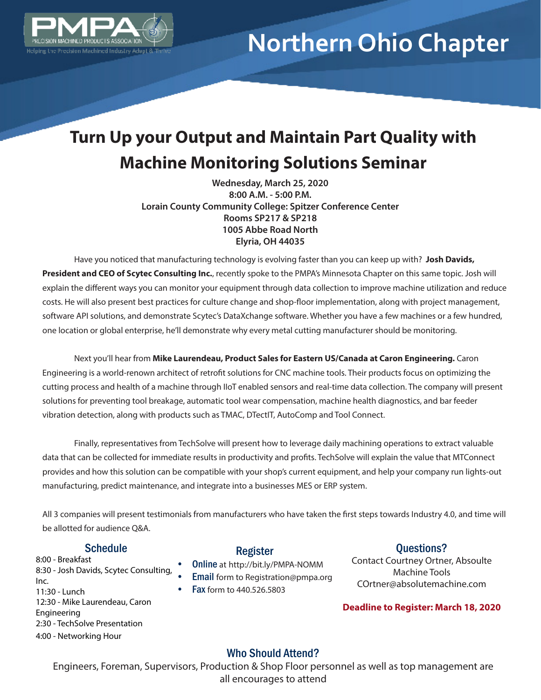

# **Northern Ohio Chapter**

### **Turn Up your Output and Maintain Part Quality with Machine Monitoring Solutions Seminar**

**Wednesday, March 25, 2020 8:00 A.M. - 5:00 P.M. Lorain County Community College: Spitzer Conference Center Rooms SP217 & SP218 1005 Abbe Road North Elyria, OH 44035**

Have you noticed that manufacturing technology is evolving faster than you can keep up with? **Josh Davids, President and CEO of Scytec Consulting Inc.**, recently spoke to the PMPA's Minnesota Chapter on this same topic. Josh will explain the different ways you can monitor your equipment through data collection to improve machine utilization and reduce costs. He will also present best practices for culture change and shop-floor implementation, along with project management, software API solutions, and demonstrate Scytec's DataXchange software. Whether you have a few machines or a few hundred, one location or global enterprise, he'll demonstrate why every metal cutting manufacturer should be monitoring.

Next you'll hear from **Mike Laurendeau, Product Sales for Eastern US/Canada at Caron Engineering.** Caron Engineering is a world-renown architect of retrofit solutions for CNC machine tools. Their products focus on optimizing the cutting process and health of a machine through IIoT enabled sensors and real-time data collection. The company will present solutions for preventing tool breakage, automatic tool wear compensation, machine health diagnostics, and bar feeder vibration detection, along with products such as TMAC, DTectIT, AutoComp and Tool Connect.

Finally, representatives from TechSolve will present how to leverage daily machining operations to extract valuable data that can be collected for immediate results in productivity and profits. TechSolve will explain the value that MTConnect provides and how this solution can be compatible with your shop's current equipment, and help your company run lights-out manufacturing, predict maintenance, and integrate into a businesses MES or ERP system.

All 3 companies will present testimonials from manufacturers who have taken the first steps towards Industry 4.0, and time will be allotted for audience Q&A.

#### **Schedule**

8:00 - Breakfast 8:30 - Josh Davids, Scytec Consulting, Inc. 11:30 - Lunch 12:30 - Mike Laurendeau, Caron Engineering 2:30 - TechSolve Presentation 4:00 - Networking Hour

#### Register

- Online at http://bit.ly/PMPA-NOMM
- Email form to Registration@pmpa.org
- Fax form to 440.526.5803

#### Questions?

Contact Courtney Ortner, Absoulte Machine Tools COrtner@absolutemachine.com

**Deadline to Register: March 18, 2020**

#### Who Should Attend?

Engineers, Foreman, Supervisors, Production & Shop Floor personnel as well as top management are all encourages to attend